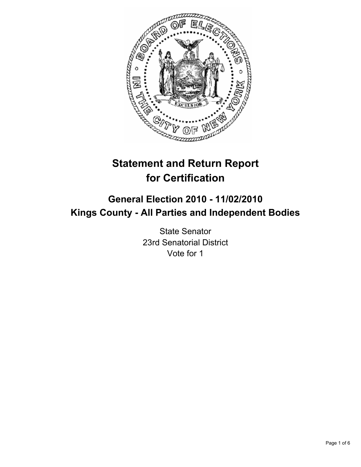

# **Statement and Return Report for Certification**

# **General Election 2010 - 11/02/2010 Kings County - All Parties and Independent Bodies**

State Senator 23rd Senatorial District Vote for 1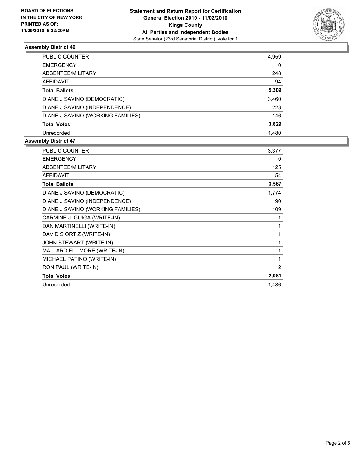

## **Assembly District 46**

| PUBLIC COUNTER                    | 4,959 |
|-----------------------------------|-------|
| EMERGENCY                         | 0     |
| ABSENTEE/MILITARY                 | 248   |
| AFFIDAVIT                         | 94    |
| Total Ballots                     | 5,309 |
| DIANE J SAVINO (DEMOCRATIC)       | 3,460 |
| DIANE J SAVINO (INDEPENDENCE)     | 223   |
| DIANE J SAVINO (WORKING FAMILIES) | 146   |
| Total Votes                       | 3,829 |
| Unrecorded                        | 1.480 |

#### **Assembly District 47**

| PUBLIC COUNTER                    | 3,377 |
|-----------------------------------|-------|
| <b>EMERGENCY</b>                  | 0     |
| ABSENTEE/MILITARY                 | 125   |
| <b>AFFIDAVIT</b>                  | 54    |
| <b>Total Ballots</b>              | 3,567 |
| DIANE J SAVINO (DEMOCRATIC)       | 1,774 |
| DIANE J SAVINO (INDEPENDENCE)     | 190   |
| DIANE J SAVINO (WORKING FAMILIES) | 109   |
| CARMINE J. GUIGA (WRITE-IN)       | 1     |
| DAN MARTINELLI (WRITE-IN)         | 1     |
| DAVID S ORTIZ (WRITE-IN)          | 1     |
| JOHN STEWART (WRITE-IN)           | 1     |
| MALLARD FILLMORE (WRITE-IN)       | 1     |
| MICHAEL PATINO (WRITE-IN)         | 1     |
| RON PAUL (WRITE-IN)               | 2     |
| <b>Total Votes</b>                | 2,081 |
| Unrecorded                        | 1,486 |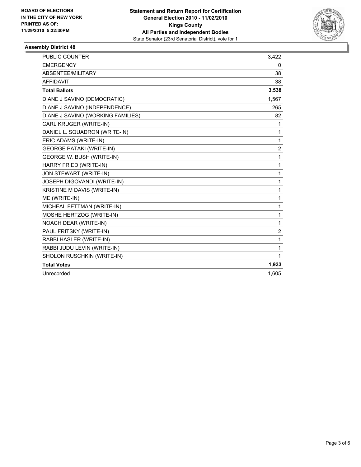

#### **Assembly District 48**

| PUBLIC COUNTER                    | 3,422          |
|-----------------------------------|----------------|
| <b>EMERGENCY</b>                  | 0              |
| ABSENTEE/MILITARY                 | 38             |
| <b>AFFIDAVIT</b>                  | 38             |
| <b>Total Ballots</b>              | 3,538          |
| DIANE J SAVINO (DEMOCRATIC)       | 1,567          |
| DIANE J SAVINO (INDEPENDENCE)     | 265            |
| DIANE J SAVINO (WORKING FAMILIES) | 82             |
| CARL KRUGER (WRITE-IN)            | 1              |
| DANIEL L. SQUADRON (WRITE-IN)     | 1              |
| ERIC ADAMS (WRITE-IN)             | 1              |
| <b>GEORGE PATAKI (WRITE-IN)</b>   | 2              |
| <b>GEORGE W. BUSH (WRITE-IN)</b>  | 1              |
| HARRY FRIED (WRITE-IN)            | 1              |
| JON STEWART (WRITE-IN)            | 1              |
| JOSEPH DIGOVANDI (WRITE-IN)       | 1              |
| KRISTINE M DAVIS (WRITE-IN)       | 1              |
| ME (WRITE-IN)                     | 1              |
| MICHEAL FETTMAN (WRITE-IN)        | 1              |
| MOSHE HERTZOG (WRITE-IN)          | 1              |
| NOACH DEAR (WRITE-IN)             | 1              |
| PAUL FRITSKY (WRITE-IN)           | $\overline{2}$ |
| RABBI HASLER (WRITE-IN)           | 1              |
| RABBI JUDU LEVIN (WRITE-IN)       | 1              |
| SHOLON RUSCHKIN (WRITE-IN)        | 1              |
| <b>Total Votes</b>                | 1,933          |
| Unrecorded                        | 1.605          |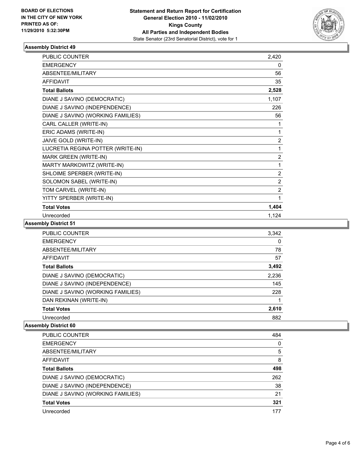

## **Assembly District 49**

| <b>PUBLIC COUNTER</b>             | 2,420          |
|-----------------------------------|----------------|
| <b>EMERGENCY</b>                  | 0              |
| ABSENTEE/MILITARY                 | 56             |
| <b>AFFIDAVIT</b>                  | 35             |
| <b>Total Ballots</b>              | 2,528          |
| DIANE J SAVINO (DEMOCRATIC)       | 1,107          |
| DIANE J SAVINO (INDEPENDENCE)     | 226            |
| DIANE J SAVINO (WORKING FAMILIES) | 56             |
| CARL CALLER (WRITE-IN)            | 1              |
| ERIC ADAMS (WRITE-IN)             | 1              |
| JAIVE GOLD (WRITE-IN)             | $\overline{2}$ |
| LUCRETIA REGINA POTTER (WRITE-IN) | 1              |
| MARK GREEN (WRITE-IN)             | $\overline{2}$ |
| MARTY MARKOWITZ (WRITE-IN)        | 1              |
| SHLOIME SPERBER (WRITE-IN)        | $\overline{2}$ |
| SOLOMON SABEL (WRITE-IN)          | 2              |
| TOM CARVEL (WRITE-IN)             | $\overline{2}$ |
| YITTY SPERBER (WRITE-IN)          | 1              |
| <b>Total Votes</b>                | 1,404          |
| Unrecorded                        | 1,124          |

**Assembly District 51**

| 3,342 |
|-------|
| 0     |
| 78    |
| 57    |
| 3,492 |
| 2,236 |
| 145   |
| 228   |
|       |
| 2,610 |
| 882   |
|       |

#### **Assembly District 60**

| 484 |
|-----|
| 0   |
| 5   |
| 8   |
| 498 |
| 262 |
| 38  |
| 21  |
| 321 |
| 177 |
|     |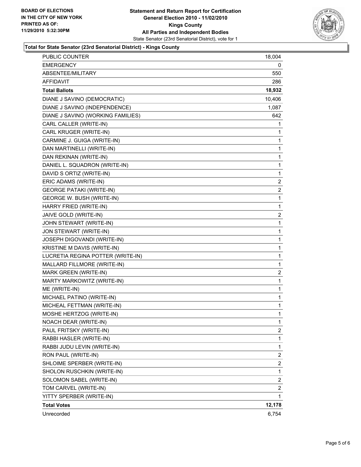

#### **Total for State Senator (23rd Senatorial District) - Kings County**

| <b>PUBLIC COUNTER</b>             | 18,004       |
|-----------------------------------|--------------|
| EMERGENCY                         | 0            |
| ABSENTEE/MILITARY                 | 550          |
| AFFIDAVIT                         | 286          |
| <b>Total Ballots</b>              | 18,932       |
| DIANE J SAVINO (DEMOCRATIC)       | 10,406       |
| DIANE J SAVINO (INDEPENDENCE)     | 1,087        |
| DIANE J SAVINO (WORKING FAMILIES) | 642          |
| CARL CALLER (WRITE-IN)            | 1            |
| CARL KRUGER (WRITE-IN)            | 1            |
| CARMINE J. GUIGA (WRITE-IN)       | 1            |
| DAN MARTINELLI (WRITE-IN)         | 1            |
| DAN REKINAN (WRITE-IN)            | 1            |
| DANIEL L. SQUADRON (WRITE-IN)     | 1            |
| DAVID S ORTIZ (WRITE-IN)          | 1            |
| ERIC ADAMS (WRITE-IN)             | 2            |
| <b>GEORGE PATAKI (WRITE-IN)</b>   | 2            |
| <b>GEORGE W. BUSH (WRITE-IN)</b>  | 1            |
| HARRY FRIED (WRITE-IN)            | 1            |
| JAIVE GOLD (WRITE-IN)             | 2            |
| JOHN STEWART (WRITE-IN)           | 1            |
| JON STEWART (WRITE-IN)            | 1            |
| JOSEPH DIGOVANDI (WRITE-IN)       | 1            |
| KRISTINE M DAVIS (WRITE-IN)       | 1            |
| LUCRETIA REGINA POTTER (WRITE-IN) | 1            |
| MALLARD FILLMORE (WRITE-IN)       | 1            |
| MARK GREEN (WRITE-IN)             | 2            |
| MARTY MARKOWITZ (WRITE-IN)        | 1            |
| ME (WRITE-IN)                     | 1            |
| MICHAEL PATINO (WRITE-IN)         | 1            |
| MICHEAL FETTMAN (WRITE-IN)        | 1            |
| MOSHE HERTZOG (WRITE-IN)          | 1            |
| NOACH DEAR (WRITE-IN)             | $\mathbf{1}$ |
| PAUL FRITSKY (WRITE-IN)           | 2            |
| RABBI HASLER (WRITE-IN)           | 1            |
| RABBI JUDU LEVIN (WRITE-IN)       | 1            |
| RON PAUL (WRITE-IN)               | 2            |
| SHLOIME SPERBER (WRITE-IN)        | 2            |
| SHOLON RUSCHKIN (WRITE-IN)        | 1            |
| SOLOMON SABEL (WRITE-IN)          | 2            |
| TOM CARVEL (WRITE-IN)             | 2            |
| YITTY SPERBER (WRITE-IN)          | 1            |
| <b>Total Votes</b>                | 12,178       |
| Unrecorded                        | 6,754        |